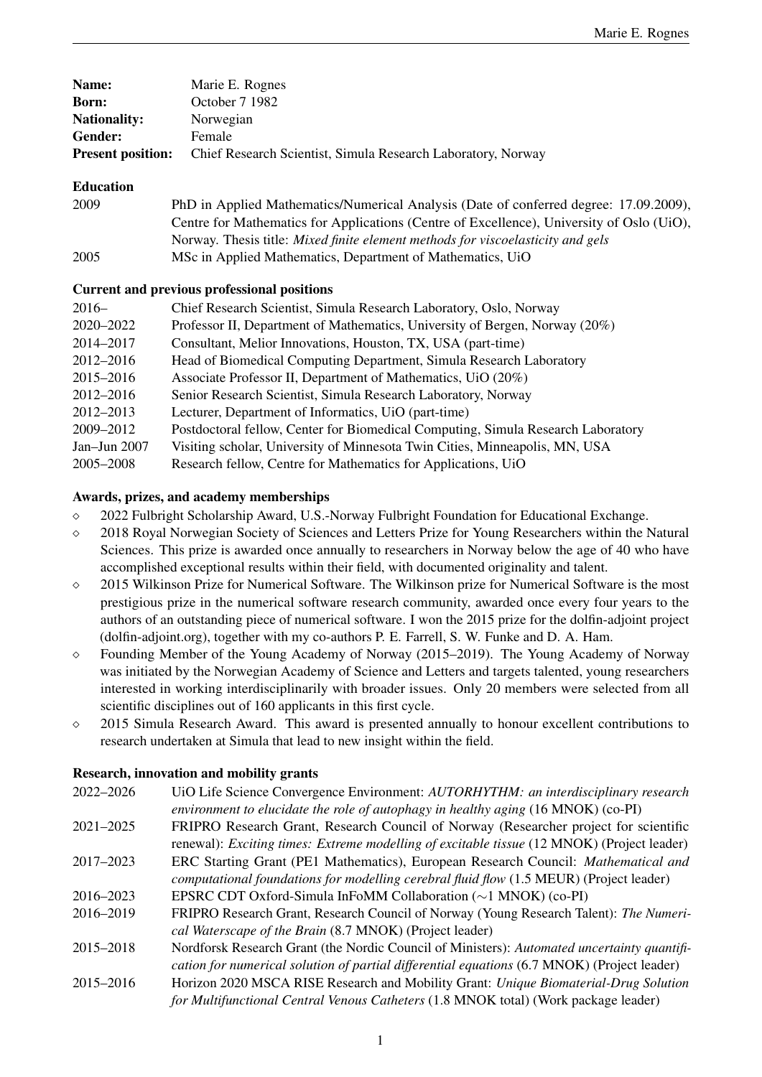| Name:                    | Marie E. Rognes                                              |
|--------------------------|--------------------------------------------------------------|
| <b>Born:</b>             | October 7 1982                                               |
| <b>Nationality:</b>      | Norwegian                                                    |
| Gender:                  | Female                                                       |
| <b>Present position:</b> | Chief Research Scientist, Simula Research Laboratory, Norway |

## Education

| 2009 | PhD in Applied Mathematics/Numerical Analysis (Date of conferred degree: 17.09.2009),     |
|------|-------------------------------------------------------------------------------------------|
|      | Centre for Mathematics for Applications (Centre of Excellence), University of Oslo (UiO), |
|      | Norway. Thesis title: Mixed finite element methods for viscoelasticity and gels           |
| 2005 | MSc in Applied Mathematics, Department of Mathematics, UiO                                |

# Current and previous professional positions

| $2016-$      | Chief Research Scientist, Simula Research Laboratory, Oslo, Norway               |
|--------------|----------------------------------------------------------------------------------|
| 2020-2022    | Professor II, Department of Mathematics, University of Bergen, Norway (20%)      |
| 2014-2017    | Consultant, Melior Innovations, Houston, TX, USA (part-time)                     |
| 2012-2016    | Head of Biomedical Computing Department, Simula Research Laboratory              |
| 2015–2016    | Associate Professor II, Department of Mathematics, UiO (20%)                     |
| 2012-2016    | Senior Research Scientist, Simula Research Laboratory, Norway                    |
| 2012-2013    | Lecturer, Department of Informatics, UiO (part-time)                             |
| 2009-2012    | Postdoctoral fellow, Center for Biomedical Computing, Simula Research Laboratory |
| Jan-Jun 2007 | Visiting scholar, University of Minnesota Twin Cities, Minneapolis, MN, USA      |
| 2005–2008    | Research fellow, Centre for Mathematics for Applications, UiO                    |

# Awards, prizes, and academy memberships

- 2022 Fulbright Scholarship Award, U.S.-Norway Fulbright Foundation for Educational Exchange.
- 2018 Royal Norwegian Society of Sciences and Letters Prize for Young Researchers within the Natural Sciences. This prize is awarded once annually to researchers in Norway below the age of 40 who have accomplished exceptional results within their field, with documented originality and talent.
- $\circ$  2015 Wilkinson Prize for Numerical Software. The Wilkinson prize for Numerical Software is the most prestigious prize in the numerical software research community, awarded once every four years to the authors of an outstanding piece of numerical software. I won the 2015 prize for the dolfin-adjoint project [\(dolfin-adjoint.org\)](http://dolfin-adjoint.org), together with my co-authors P. E. Farrell, S. W. Funke and D. A. Ham.
- Founding Member of the Young Academy of Norway (2015–2019). The Young Academy of Norway was initiated by the Norwegian Academy of Science and Letters and targets talented, young researchers interested in working interdisciplinarily with broader issues. Only 20 members were selected from all scientific disciplines out of 160 applicants in this first cycle.
- $\circ$  2015 Simula Research Award. This award is presented annually to honour excellent contributions to research undertaken at Simula that lead to new insight within the field.

# Research, innovation and mobility grants

| 2022-2026 | UiO Life Science Convergence Environment: AUTORHYTHM: an interdisciplinary research               |
|-----------|---------------------------------------------------------------------------------------------------|
|           | environment to elucidate the role of autophagy in healthy aging (16 MNOK) (co-PI)                 |
| 2021-2025 | FRIPRO Research Grant, Research Council of Norway (Researcher project for scientific              |
|           | renewal): <i>Exciting times: Extreme modelling of excitable tissue</i> (12 MNOK) (Project leader) |
| 2017-2023 | ERC Starting Grant (PE1 Mathematics), European Research Council: Mathematical and                 |
|           | computational foundations for modelling cerebral fluid flow (1.5 MEUR) (Project leader)           |
| 2016–2023 | EPSRC CDT Oxford-Simula InFoMM Collaboration $(\sim 1 \text{ MNOK})$ (co-PI)                      |
| 2016–2019 | FRIPRO Research Grant, Research Council of Norway (Young Research Talent): The Numeri-            |
|           | cal Waterscape of the Brain (8.7 MNOK) (Project leader)                                           |
| 2015-2018 | Nordforsk Research Grant (the Nordic Council of Ministers): Automated uncertainty quantifi-       |
|           | cation for numerical solution of partial differential equations (6.7 MNOK) (Project leader)       |
| 2015-2016 | Horizon 2020 MSCA RISE Research and Mobility Grant: Unique Biomaterial-Drug Solution              |
|           | for Multifunctional Central Venous Catheters (1.8 MNOK total) (Work package leader)               |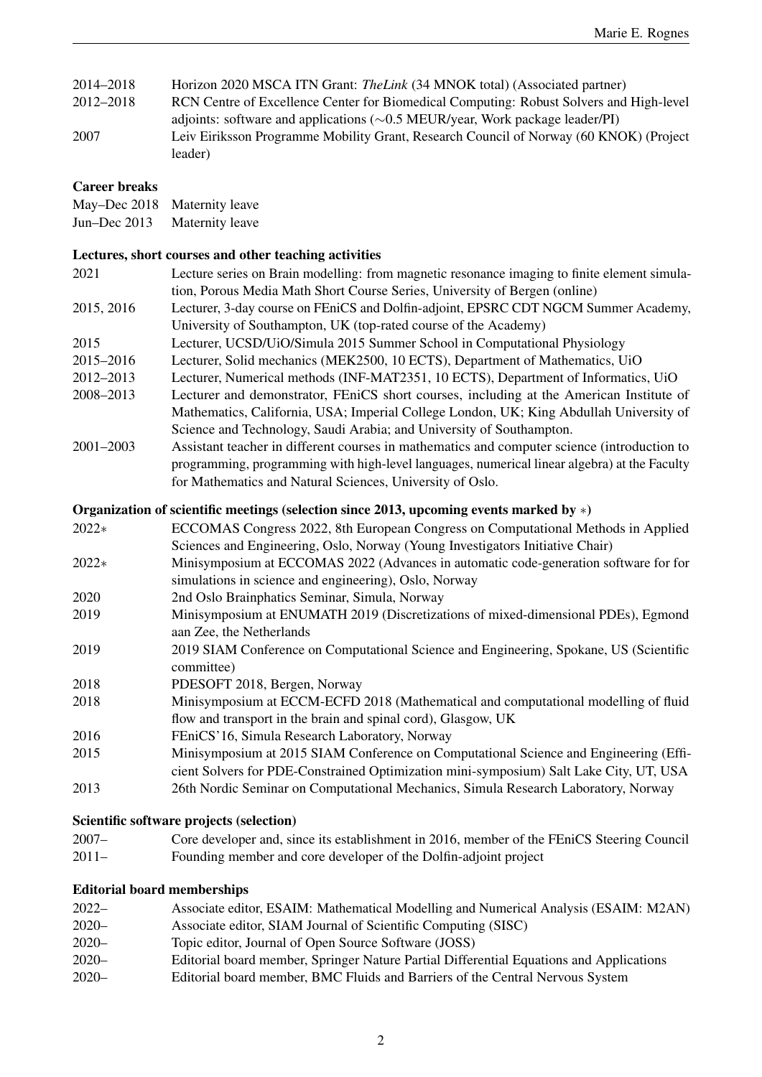| 2014–2018 | Horizon 2020 MSCA ITN Grant: The Link (34 MNOK total) (Associated partner)                        |
|-----------|---------------------------------------------------------------------------------------------------|
| 2012–2018 | RCN Centre of Excellence Center for Biomedical Computing: Robust Solvers and High-level           |
|           | adjoints: software and applications $(\sim 0.5 \text{ MEUR/year}, \text{Work package leader/PI})$ |
| 2007      | Leiv Eiriksson Programme Mobility Grant, Research Council of Norway (60 KNOK) (Project            |
|           | leader)                                                                                           |

## Career breaks

|              | May-Dec 2018 Maternity leave |
|--------------|------------------------------|
| Jun-Dec 2013 | Maternity leave              |

## Lectures, short courses and other teaching activities

| 2021          | Lecture series on Brain modelling: from magnetic resonance imaging to finite element simula- |
|---------------|----------------------------------------------------------------------------------------------|
|               | tion, Porous Media Math Short Course Series, University of Bergen (online)                   |
| 2015, 2016    | Lecturer, 3-day course on FE nics and Dolfin-adjoint, EPSRC CDT NGCM Summer Academy,         |
|               | University of Southampton, UK (top-rated course of the Academy)                              |
| 2015          | Lecturer, UCSD/UiO/Simula 2015 Summer School in Computational Physiology                     |
| 2015-2016     | Lecturer, Solid mechanics (MEK2500, 10 ECTS), Department of Mathematics, UiO                 |
| 2012-2013     | Lecturer, Numerical methods (INF-MAT2351, 10 ECTS), Department of Informatics, UiO           |
| 2008-2013     | Lecturer and demonstrator, FE niCS short courses, including at the American Institute of     |
|               | Mathematics, California, USA; Imperial College London, UK; King Abdullah University of       |
|               | Science and Technology, Saudi Arabia; and University of Southampton.                         |
| $2001 - 2003$ | Assistant teacher in different courses in mathematics and computer science (introduction to  |

programming, programming with high-level languages, numerical linear algebra) at the Faculty

# for Mathematics and Natural Sciences, University of Oslo.

# Organization of scientific meetings (selection since 2013, upcoming events marked by ∗)

| ECCOMAS Congress 2022, 8th European Congress on Computational Methods in Applied       |
|----------------------------------------------------------------------------------------|
| Sciences and Engineering, Oslo, Norway (Young Investigators Initiative Chair)          |
| Minisymposium at ECCOMAS 2022 (Advances in automatic code-generation software for for  |
| simulations in science and engineering), Oslo, Norway                                  |
| 2nd Oslo Brainphatics Seminar, Simula, Norway                                          |
| Minisymposium at ENUMATH 2019 (Discretizations of mixed-dimensional PDEs), Egmond      |
| aan Zee, the Netherlands                                                               |
| 2019 SIAM Conference on Computational Science and Engineering, Spokane, US (Scientific |
| committee)                                                                             |
| PDESOFT 2018, Bergen, Norway                                                           |
| Minisymposium at ECCM-ECFD 2018 (Mathematical and computational modelling of fluid     |
| flow and transport in the brain and spinal cord), Glasgow, UK                          |
| FEniCS'16, Simula Research Laboratory, Norway                                          |
| Minisymposium at 2015 SIAM Conference on Computational Science and Engineering (Effi-  |
| cient Solvers for PDE-Constrained Optimization mini-symposium) Salt Lake City, UT, USA |
| 26th Nordic Seminar on Computational Mechanics, Simula Research Laboratory, Norway     |
|                                                                                        |

## Scientific software projects (selection)

2007– Core developer and, since its establishment in 2016, member of the FEniCS Steering Council 2011– Founding member and core developer of the Dolfin-adjoint project

# Editorial board memberships

| $2022-$  | Associate editor, ESAIM: Mathematical Modelling and Numerical Analysis (ESAIM: M2AN)    |
|----------|-----------------------------------------------------------------------------------------|
| $2020 -$ | Associate editor, SIAM Journal of Scientific Computing (SISC)                           |
| $2020 -$ | Topic editor, Journal of Open Source Software (JOSS)                                    |
| $2020 -$ | Editorial board member, Springer Nature Partial Differential Equations and Applications |
| $2020 -$ | Editorial board member, BMC Fluids and Barriers of the Central Nervous System           |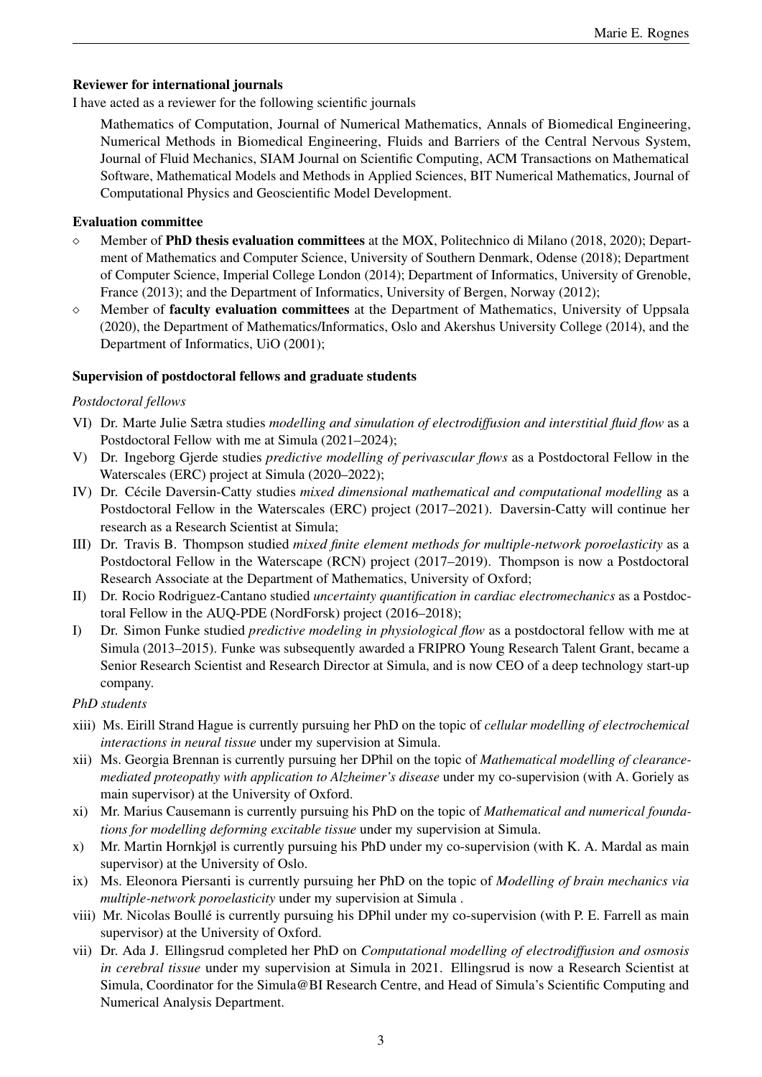# Reviewer for international journals

I have acted as a reviewer for the following scientific journals

Mathematics of Computation, Journal of Numerical Mathematics, Annals of Biomedical Engineering, Numerical Methods in Biomedical Engineering, Fluids and Barriers of the Central Nervous System, Journal of Fluid Mechanics, SIAM Journal on Scientific Computing, ACM Transactions on Mathematical Software, Mathematical Models and Methods in Applied Sciences, BIT Numerical Mathematics, Journal of Computational Physics and Geoscientific Model Development.

## Evaluation committee

- $\Diamond$  Member of **PhD thesis evaluation committees** at the MOX, Politechnico di Milano (2018, 2020); Department of Mathematics and Computer Science, University of Southern Denmark, Odense (2018); Department of Computer Science, Imperial College London (2014); Department of Informatics, University of Grenoble, France (2013); and the Department of Informatics, University of Bergen, Norway (2012);
- $\diamond$  Member of **faculty evaluation committees** at the Department of Mathematics, University of Uppsala (2020), the Department of Mathematics/Informatics, Oslo and Akershus University College (2014), and the Department of Informatics, UiO (2001);

# Supervision of postdoctoral fellows and graduate students

# *Postdoctoral fellows*

- VI) Dr. Marte Julie Sætra studies *modelling and simulation of electrodiffusion and interstitial fluid flow* as a Postdoctoral Fellow with me at Simula (2021–2024);
- V) Dr. Ingeborg Gjerde studies *predictive modelling of perivascular flows* as a Postdoctoral Fellow in the Waterscales (ERC) project at Simula (2020–2022);
- IV) Dr. Cécile Daversin-Catty studies *mixed dimensional mathematical and computational modelling* as a Postdoctoral Fellow in the Waterscales (ERC) project (2017–2021). Daversin-Catty will continue her research as a Research Scientist at Simula;
- III) Dr. Travis B. Thompson studied *mixed finite element methods for multiple-network poroelasticity* as a Postdoctoral Fellow in the Waterscape (RCN) project (2017–2019). Thompson is now a Postdoctoral Research Associate at the Department of Mathematics, University of Oxford;
- II) Dr. Rocio Rodriguez-Cantano studied *uncertainty quantification in cardiac electromechanics* as a Postdoctoral Fellow in the AUQ-PDE (NordForsk) project (2016–2018);
- I) Dr. Simon Funke studied *predictive modeling in physiological flow* as a postdoctoral fellow with me at Simula (2013–2015). Funke was subsequently awarded a FRIPRO Young Research Talent Grant, became a Senior Research Scientist and Research Director at Simula, and is now CEO of a deep technology start-up company.

*PhD students*

- xiii) Ms. Eirill Strand Hague is currently pursuing her PhD on the topic of *cellular modelling of electrochemical interactions in neural tissue* under my supervision at Simula.
- xii) Ms. Georgia Brennan is currently pursuing her DPhil on the topic of *Mathematical modelling of clearancemediated proteopathy with application to Alzheimer's disease* under my co-supervision (with A. Goriely as main supervisor) at the University of Oxford.
- xi) Mr. Marius Causemann is currently pursuing his PhD on the topic of *Mathematical and numerical foundations for modelling deforming excitable tissue* under my supervision at Simula.
- x) Mr. Martin Hornkjøl is currently pursuing his PhD under my co-supervision (with K. A. Mardal as main supervisor) at the University of Oslo.
- ix) Ms. Eleonora Piersanti is currently pursuing her PhD on the topic of *Modelling of brain mechanics via multiple-network poroelasticity* under my supervision at Simula .
- viii) Mr. Nicolas Boulle is currently pursuing his DPhil under my co-supervision (with P. E. Farrell as main ´ supervisor) at the University of Oxford.
- vii) Dr. Ada J. Ellingsrud completed her PhD on *Computational modelling of electrodiffusion and osmosis in cerebral tissue* under my supervision at Simula in 2021. Ellingsrud is now a Research Scientist at Simula, Coordinator for the Simula@BI Research Centre, and Head of Simula's Scientific Computing and Numerical Analysis Department.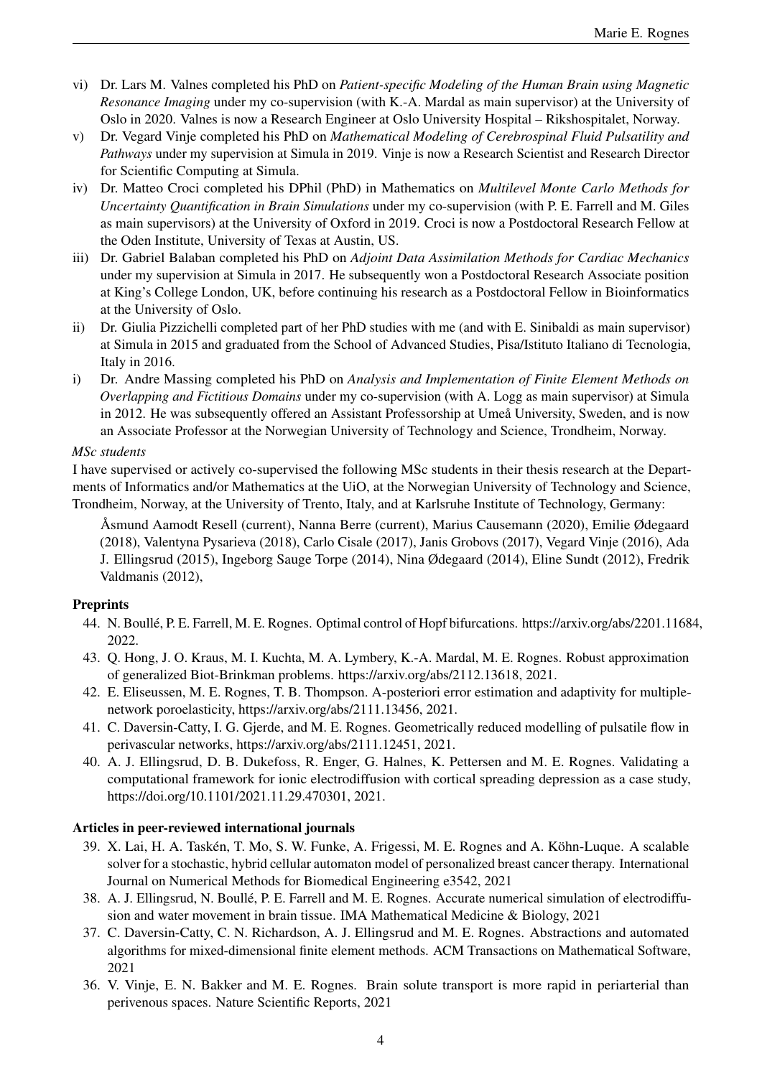- vi) Dr. Lars M. Valnes completed his PhD on *Patient-specific Modeling of the Human Brain using Magnetic Resonance Imaging* under my co-supervision (with K.-A. Mardal as main supervisor) at the University of Oslo in 2020. Valnes is now a Research Engineer at Oslo University Hospital – Rikshospitalet, Norway.
- v) Dr. Vegard Vinje completed his PhD on *Mathematical Modeling of Cerebrospinal Fluid Pulsatility and Pathways* under my supervision at Simula in 2019. Vinje is now a Research Scientist and Research Director for Scientific Computing at Simula.
- iv) Dr. Matteo Croci completed his DPhil (PhD) in Mathematics on *Multilevel Monte Carlo Methods for Uncertainty Quantification in Brain Simulations* under my co-supervision (with P. E. Farrell and M. Giles as main supervisors) at the University of Oxford in 2019. Croci is now a Postdoctoral Research Fellow at the Oden Institute, University of Texas at Austin, US.
- iii) Dr. Gabriel Balaban completed his PhD on *Adjoint Data Assimilation Methods for Cardiac Mechanics* under my supervision at Simula in 2017. He subsequently won a Postdoctoral Research Associate position at King's College London, UK, before continuing his research as a Postdoctoral Fellow in Bioinformatics at the University of Oslo.
- ii) Dr. Giulia Pizzichelli completed part of her PhD studies with me (and with E. Sinibaldi as main supervisor) at Simula in 2015 and graduated from the School of Advanced Studies, Pisa/Istituto Italiano di Tecnologia, Italy in 2016.
- i) Dr. Andre Massing completed his PhD on *Analysis and Implementation of Finite Element Methods on Overlapping and Fictitious Domains* under my co-supervision (with A. Logg as main supervisor) at Simula in 2012. He was subsequently offered an Assistant Professorship at Umea University, Sweden, and is now an Associate Professor at the Norwegian University of Technology and Science, Trondheim, Norway.

## *MSc students*

I have supervised or actively co-supervised the following MSc students in their thesis research at the Departments of Informatics and/or Mathematics at the UiO, at the Norwegian University of Technology and Science, Trondheim, Norway, at the University of Trento, Italy, and at Karlsruhe Institute of Technology, Germany:

Asmund Aamodt Resell (current), Nanna Berre (current), Marius Causemann (2020), Emilie Ødegaard ˚ (2018), Valentyna Pysarieva (2018), Carlo Cisale (2017), Janis Grobovs (2017), Vegard Vinje (2016), Ada J. Ellingsrud (2015), Ingeborg Sauge Torpe (2014), Nina Ødegaard (2014), Eline Sundt (2012), Fredrik Valdmanis (2012),

## **Preprints**

- 44. N. Boullé, P. E. Farrell, M. E. Rognes. Optimal control of Hopf bifurcations. [https://arxiv.org/abs/2201.11684,](https://arxiv.org/abs/2201.11684) 2022.
- 43. Q. Hong, J. O. Kraus, M. I. Kuchta, M. A. Lymbery, K.-A. Mardal, M. E. Rognes. Robust approximation of generalized Biot-Brinkman problems. [https://arxiv.org/abs/2112.13618,](https://arxiv.org/abs/2112.13618) 2021.
- 42. E. Eliseussen, M. E. Rognes, T. B. Thompson. A-posteriori error estimation and adaptivity for multiplenetwork poroelasticity, [https://arxiv.org/abs/2111.13456,](https://arxiv.org/abs/2111.13456?context=q-bio.TO) 2021.
- 41. C. Daversin-Catty, I. G. Gjerde, and M. E. Rognes. Geometrically reduced modelling of pulsatile flow in perivascular networks, [https://arxiv.org/abs/2111.12451,](https://arxiv.org/abs/2111.12451) 2021.
- 40. A. J. Ellingsrud, D. B. Dukefoss, R. Enger, G. Halnes, K. Pettersen and M. E. Rognes. Validating a computational framework for ionic electrodiffusion with cortical spreading depression as a case study, [https://doi.org/10.1101/2021.11.29.470301,](https://doi.org/10.1101/2021.11.29.470301) 2021.

## Articles in peer-reviewed international journals

- 39. X. Lai, H. A. Taskén, T. Mo, S. W. Funke, A. Frigessi, M. E. Rognes and A. Köhn-Luque. A scalable solver for a stochastic, hybrid cellular automaton model of personalized breast cancer therapy. International Journal on Numerical Methods for Biomedical Engineering e3542, 2021
- 38. A. J. Ellingsrud, N. Boulle, P. E. Farrell and M. E. Rognes. Accurate numerical simulation of electrodiffu- ´ sion and water movement in brain tissue. IMA Mathematical Medicine & Biology, 2021
- 37. C. Daversin-Catty, C. N. Richardson, A. J. Ellingsrud and M. E. Rognes. Abstractions and automated algorithms for mixed-dimensional finite element methods. ACM Transactions on Mathematical Software, 2021
- 36. V. Vinje, E. N. Bakker and M. E. Rognes. Brain solute transport is more rapid in periarterial than perivenous spaces. Nature Scientific Reports, 2021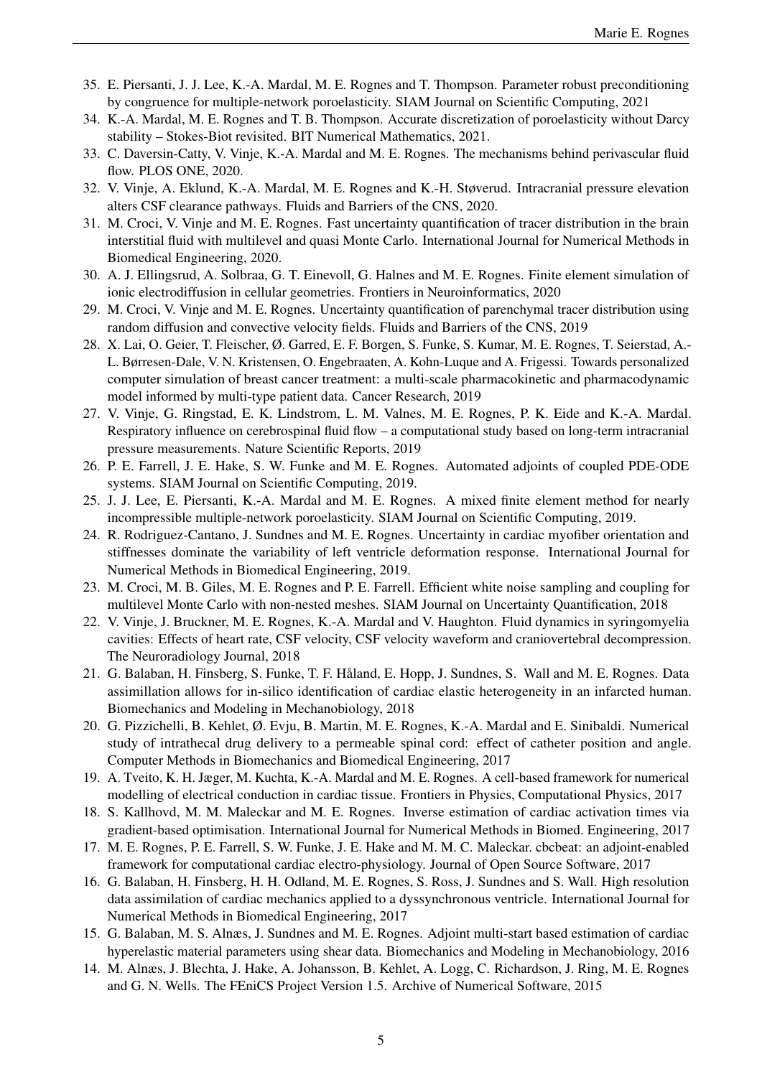- 35. E. Piersanti, J. J. Lee, K.-A. Mardal, M. E. Rognes and T. Thompson. Parameter robust preconditioning by congruence for multiple-network poroelasticity. SIAM Journal on Scientific Computing, 2021
- 34. K.-A. Mardal, M. E. Rognes and T. B. Thompson. Accurate discretization of poroelasticity without Darcy stability – Stokes-Biot revisited. BIT Numerical Mathematics, 2021.
- 33. C. Daversin-Catty, V. Vinje, K.-A. Mardal and M. E. Rognes. The mechanisms behind perivascular fluid flow. PLOS ONE, 2020.
- 32. V. Vinje, A. Eklund, K.-A. Mardal, M. E. Rognes and K.-H. Støverud. Intracranial pressure elevation alters CSF clearance pathways. Fluids and Barriers of the CNS, 2020.
- 31. M. Croci, V. Vinje and M. E. Rognes. Fast uncertainty quantification of tracer distribution in the brain interstitial fluid with multilevel and quasi Monte Carlo. International Journal for Numerical Methods in Biomedical Engineering, 2020.
- 30. A. J. Ellingsrud, A. Solbraa, G. T. Einevoll, G. Halnes and M. E. Rognes. Finite element simulation of ionic electrodiffusion in cellular geometries. Frontiers in Neuroinformatics, 2020
- 29. M. Croci, V. Vinje and M. E. Rognes. Uncertainty quantification of parenchymal tracer distribution using random diffusion and convective velocity fields. Fluids and Barriers of the CNS, 2019
- 28. X. Lai, O. Geier, T. Fleischer, Ø. Garred, E. F. Borgen, S. Funke, S. Kumar, M. E. Rognes, T. Seierstad, A.- L. Børresen-Dale, V. N. Kristensen, O. Engebraaten, A. Kohn-Luque and A. Frigessi. Towards personalized computer simulation of breast cancer treatment: a multi-scale pharmacokinetic and pharmacodynamic model informed by multi-type patient data. Cancer Research, 2019
- 27. V. Vinje, G. Ringstad, E. K. Lindstrom, L. M. Valnes, M. E. Rognes, P. K. Eide and K.-A. Mardal. Respiratory influence on cerebrospinal fluid flow – a computational study based on long-term intracranial pressure measurements. Nature Scientific Reports, 2019
- 26. P. E. Farrell, J. E. Hake, S. W. Funke and M. E. Rognes. Automated adjoints of coupled PDE-ODE systems. SIAM Journal on Scientific Computing, 2019.
- 25. J. J. Lee, E. Piersanti, K.-A. Mardal and M. E. Rognes. A mixed finite element method for nearly incompressible multiple-network poroelasticity. SIAM Journal on Scientific Computing, 2019.
- 24. R. Rodriguez-Cantano, J. Sundnes and M. E. Rognes. Uncertainty in cardiac myofiber orientation and stiffnesses dominate the variability of left ventricle deformation response. International Journal for Numerical Methods in Biomedical Engineering, 2019.
- 23. M. Croci, M. B. Giles, M. E. Rognes and P. E. Farrell. Efficient white noise sampling and coupling for multilevel Monte Carlo with non-nested meshes. SIAM Journal on Uncertainty Quantification, 2018
- 22. V. Vinje, J. Bruckner, M. E. Rognes, K.-A. Mardal and V. Haughton. Fluid dynamics in syringomyelia cavities: Effects of heart rate, CSF velocity, CSF velocity waveform and craniovertebral decompression. The Neuroradiology Journal, 2018
- 21. G. Balaban, H. Finsberg, S. Funke, T. F. Haland, E. Hopp, J. Sundnes, S. Wall and M. E. Rognes. Data ˚ assimillation allows for in-silico identification of cardiac elastic heterogeneity in an infarcted human. Biomechanics and Modeling in Mechanobiology, 2018
- 20. G. Pizzichelli, B. Kehlet, Ø. Evju, B. Martin, M. E. Rognes, K.-A. Mardal and E. Sinibaldi. Numerical study of intrathecal drug delivery to a permeable spinal cord: effect of catheter position and angle. Computer Methods in Biomechanics and Biomedical Engineering, 2017
- 19. A. Tveito, K. H. Jæger, M. Kuchta, K.-A. Mardal and M. E. Rognes. A cell-based framework for numerical modelling of electrical conduction in cardiac tissue. Frontiers in Physics, Computational Physics, 2017
- 18. S. Kallhovd, M. M. Maleckar and M. E. Rognes. Inverse estimation of cardiac activation times via gradient-based optimisation. International Journal for Numerical Methods in Biomed. Engineering, 2017
- 17. M. E. Rognes, P. E. Farrell, S. W. Funke, J. E. Hake and M. M. C. Maleckar. cbcbeat: an adjoint-enabled framework for computational cardiac electro-physiology. Journal of Open Source Software, 2017
- 16. G. Balaban, H. Finsberg, H. H. Odland, M. E. Rognes, S. Ross, J. Sundnes and S. Wall. High resolution data assimilation of cardiac mechanics applied to a dyssynchronous ventricle. International Journal for Numerical Methods in Biomedical Engineering, 2017
- 15. G. Balaban, M. S. Alnæs, J. Sundnes and M. E. Rognes. Adjoint multi-start based estimation of cardiac hyperelastic material parameters using shear data. Biomechanics and Modeling in Mechanobiology, 2016
- 14. M. Alnæs, J. Blechta, J. Hake, A. Johansson, B. Kehlet, A. Logg, C. Richardson, J. Ring, M. E. Rognes and G. N. Wells. The FEniCS Project Version 1.5. Archive of Numerical Software, 2015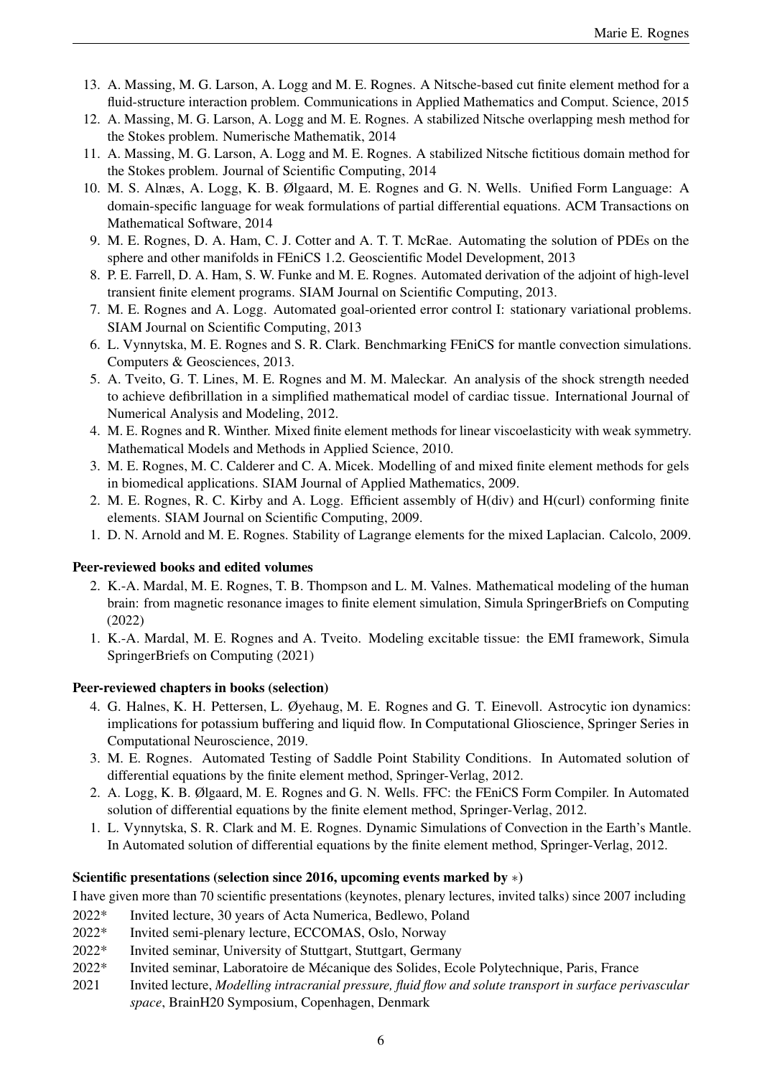- 13. A. Massing, M. G. Larson, A. Logg and M. E. Rognes. A Nitsche-based cut finite element method for a fluid-structure interaction problem. Communications in Applied Mathematics and Comput. Science, 2015
- 12. A. Massing, M. G. Larson, A. Logg and M. E. Rognes. A stabilized Nitsche overlapping mesh method for the Stokes problem. Numerische Mathematik, 2014
- 11. A. Massing, M. G. Larson, A. Logg and M. E. Rognes. A stabilized Nitsche fictitious domain method for the Stokes problem. Journal of Scientific Computing, 2014
- 10. M. S. Alnæs, A. Logg, K. B. Ølgaard, M. E. Rognes and G. N. Wells. Unified Form Language: A domain-specific language for weak formulations of partial differential equations. ACM Transactions on Mathematical Software, 2014
- 9. M. E. Rognes, D. A. Ham, C. J. Cotter and A. T. T. McRae. Automating the solution of PDEs on the sphere and other manifolds in FEniCS 1.2. Geoscientific Model Development, 2013
- 8. P. E. Farrell, D. A. Ham, S. W. Funke and M. E. Rognes. Automated derivation of the adjoint of high-level transient finite element programs. SIAM Journal on Scientific Computing, 2013.
- 7. M. E. Rognes and A. Logg. Automated goal-oriented error control I: stationary variational problems. SIAM Journal on Scientific Computing, 2013
- 6. L. Vynnytska, M. E. Rognes and S. R. Clark. Benchmarking FEniCS for mantle convection simulations. Computers & Geosciences, 2013.
- 5. A. Tveito, G. T. Lines, M. E. Rognes and M. M. Maleckar. An analysis of the shock strength needed to achieve defibrillation in a simplified mathematical model of cardiac tissue. International Journal of Numerical Analysis and Modeling, 2012.
- 4. M. E. Rognes and R. Winther. Mixed finite element methods for linear viscoelasticity with weak symmetry. Mathematical Models and Methods in Applied Science, 2010.
- 3. M. E. Rognes, M. C. Calderer and C. A. Micek. Modelling of and mixed finite element methods for gels in biomedical applications. SIAM Journal of Applied Mathematics, 2009.
- 2. M. E. Rognes, R. C. Kirby and A. Logg. Efficient assembly of H(div) and H(curl) conforming finite elements. SIAM Journal on Scientific Computing, 2009.
- 1. D. N. Arnold and M. E. Rognes. Stability of Lagrange elements for the mixed Laplacian. Calcolo, 2009.

## Peer-reviewed books and edited volumes

- 2. K.-A. Mardal, M. E. Rognes, T. B. Thompson and L. M. Valnes. Mathematical modeling of the human brain: from magnetic resonance images to finite element simulation, Simula SpringerBriefs on Computing (2022)
- 1. K.-A. Mardal, M. E. Rognes and A. Tveito. Modeling excitable tissue: the EMI framework, Simula SpringerBriefs on Computing (2021)

## Peer-reviewed chapters in books (selection)

- 4. G. Halnes, K. H. Pettersen, L. Øyehaug, M. E. Rognes and G. T. Einevoll. Astrocytic ion dynamics: implications for potassium buffering and liquid flow. In Computational Glioscience, Springer Series in Computational Neuroscience, 2019.
- 3. M. E. Rognes. Automated Testing of Saddle Point Stability Conditions. In Automated solution of differential equations by the finite element method, Springer-Verlag, 2012.
- 2. A. Logg, K. B. Ølgaard, M. E. Rognes and G. N. Wells. FFC: the FEniCS Form Compiler. In Automated solution of differential equations by the finite element method, Springer-Verlag, 2012.
- 1. L. Vynnytska, S. R. Clark and M. E. Rognes. Dynamic Simulations of Convection in the Earth's Mantle. In Automated solution of differential equations by the finite element method, Springer-Verlag, 2012.

## Scientific presentations (selection since 2016, upcoming events marked by ∗)

I have given more than 70 scientific presentations (keynotes, plenary lectures, invited talks) since 2007 including

- 2022\* Invited lecture, 30 years of Acta Numerica, Bedlewo, Poland
- 2022\* Invited semi-plenary lecture, ECCOMAS, Oslo, Norway
- 2022\* Invited seminar, University of Stuttgart, Stuttgart, Germany
- 2022\* Invited seminar, Laboratoire de Mecanique des Solides, Ecole Polytechnique, Paris, France ´
- 2021 Invited lecture, *Modelling intracranial pressure, fluid flow and solute transport in surface perivascular space*, BrainH20 Symposium, Copenhagen, Denmark